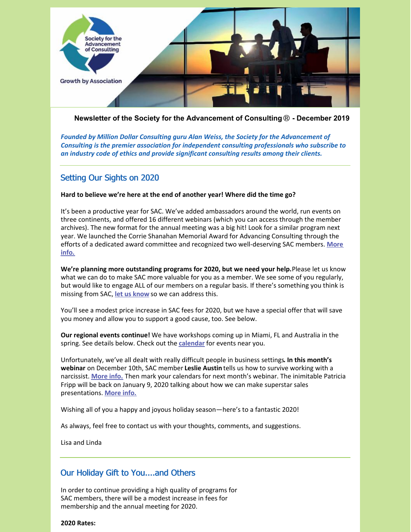

**Newsletter of the Society for the Advancement of Consulting**® **- December 2019**

*Founded by Million Dollar Consulting guru Alan Weiss, the Society for the Advancement of Consulting is the premier association for independent consulting professionals who subscribe to an industry code of ethics and provide significant consulting results among their clients.*

# Setting Our Sights on 2020

## **Hard to believe we're here at the end of another year! Where did the time go?**

It's been a productive year for SAC. We've added ambassadors around the world, run events on three continents, and offered 16 different webinars (which you can access through the member archives). The new format for the annual meeting was a big hit! Look for a similar program next year. We launched the Corrie Shanahan Memorial Award for Advancing Consulting through the efforts of a dedicated award committee and recognized two [well-deserving](https://consultingsociety.com/2019-advancing-consulting-award-winners/) SAC members. **More info.**

**We're planning more outstanding programs for 2020, but we need your help.**Please let us know what we can do to make SAC more valuable for you as a member. We see some of you regularly, but would like to engage ALL of our members on a regular basis. If there's something you think is missing from SAC, **let us [know](mailto:info@consultingsociety.com)** so we can address this.

You'll see a modest price increase in SAC fees for 2020, but we have a special offer that will save you money and allow you to support a good cause, too. See below.

**Our regional events continue!** We have workshops coming up in Miami, FL and Australia in the spring. See details below. Check out the **[calendar](https://consultingsociety.com/events/)** for events near you.

Unfortunately, we've all dealt with really difficult people in business settings**. In this month's webinar** on December 10th, SAC member **Leslie Austin** tells us how to survive working with a narcissist. **[More](https://consultingsociety.com/programs-events/best-practices-webinars/#austin-1219) info.** Then mark your calendars for next month's webinar. The inimitable Patricia Fripp will be back on January 9, 2020 talking about how we can make superstar sales presentations. **[More](https://consultingsociety.com/programs-events/best-practices-webinars/#fripp-0120) info.**

Wishing all of you a happy and joyous holiday season—here's to a fantastic 2020!

As always, feel free to contact us with your thoughts, comments, and suggestions.

Lisa and Linda

# Our Holiday Gift to You....and Others

In order to continue providing a high quality of programs for SAC members, there will be a modest increase in fees for membership and the annual meeting for 2020.

**2020 Rates:**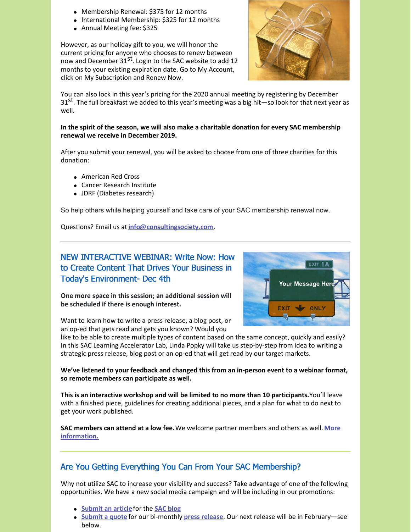- Membership Renewal: \$375 for 12 months
- International Membership: \$325 for 12 months
- Annual Meeting fee: \$325

However, as our holiday gift to you, we will honor the current pricing for anyone who chooses to renew between now and December 31<sup>st</sup>. Login to the SAC website to add 12 months to your existing expiration date. Go to My Account, click on My Subscription and Renew Now.



You can also lock in this year's pricing for the 2020 annual meeting by registering by December 31<sup>st</sup>. The full breakfast we added to this year's meeting was a big hit—so look for that next year as well.

**In the spirit of the season, we will also make a charitable donation for every SAC membership renewal we receive in December 2019.**

After you submit your renewal, you will be asked to choose from one of three charities for this donation:

- American Red Cross
- Cancer Research Institute
- JDRF (Diabetes research)

So help others while helping yourself and take care of your SAC membership renewal now.

Questions? Email us at **[info@consultingsociety.com](mailto:info@consultingsociety.com)**.

# NEW INTERACTIVE WEBINAR: Write Now: How to Create Content That Drives Your Business in Today's Environment- Dec 4th



**One more space in this session; an additional session will be scheduled if there is enough interest.**

Want to learn how to write a press release, a blog post, or an op-ed that gets read and gets you known? Would you

like to be able to create multiple types of content based on the same concept, quickly and easily? In this SAC Learning Accelerator Lab, Linda Popky will take us step-by-step from idea to writing a strategic press release, blog post or an op-ed that will get read by our target markets.

## **We've listened to your feedback and changed this from an in-person event to a webinar format, so remote members can participate as well.**

**This is an interactive workshop and will be limited to no more than 10 participants.**You'll leave with a finished piece, guidelines for creating additional pieces, and a plan for what to do next to get your work published.

**SAC members can attend at a low fee.**We welcome partner members and others as well. **More [information.](https://consultingsociety.com/programs-events/regional-meetings/#popky-1219)**

# Are You Getting Everything You Can From Your SAC Membership?

Why not utilize SAC to increase your visibility and success? Take advantage of one of the following opportunities. We have a new social media campaign and will be including in our promotions:

- **[Submit](https://consultingsociety.com/member-resources/) an article** for the **SAC [blog](https://consultingsociety.com/category/member-articles/)**
- **[Submit](https://consultingsociety.com/member-resources/press-release-contribution/) a quote** for our bi-monthly **press [release](https://consultingsociety.com/resources/press-releases/)**. Our next release will be in February—see below.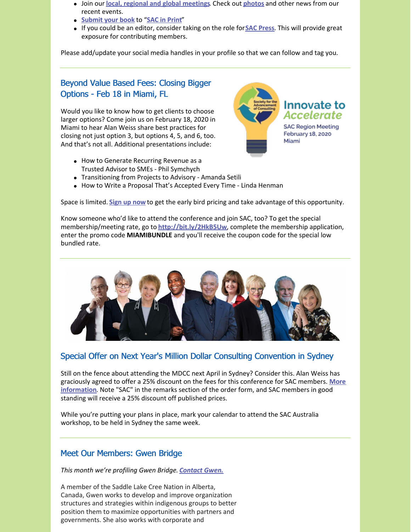- Join our **local, regional and global [meetings](https://consultingsociety.com/programs-events/regional-meetings/)**. Check out **[photos](https://consultingsociety.com/resources/in-the-news/)** and other news from our recent events.
- **[Submit](https://consultingsociety.com/member-resources/sac-in-print/) your book** to "**SAC in [Print](https://consultingsociety.com/resources/books-by-our-members/)**"
- If you could be an editor, consider taking on the role for**SAC [Press](https://consultingsociety.com/resources/sac-press/)**. This will provide great exposure for contributing members.

Please add/update your social media handles in your profile so that we can follow and tag you.

# Beyond Value Based Fees: Closing Bigger Options - Feb 18 in Miami, FL

Would you like to know how to get clients to choose larger options? Come join us on February 18, 2020 in Miami to hear Alan Weiss share best practices for closing not just option 3, but options 4, 5, and 6, too. And that's not all. Additional presentations include:



- Transitioning from Projects to Advisory Amanda Setili
- How to Write a Proposal That's Accepted Every Time Linda Henman

Space is limited. **[Sign](https://consultingsociety.com/february-18-2020-miami-regional-event/) up now** to get the early bird pricing and take advantage of this opportunity.

Know someone who'd like to attend the conference and join SAC, too? To get the special membership/meeting rate, go to **<http://bit.ly/2HkB5Uw>**, complete the membership application, enter the promo code **MIAMIBUNDLE** and you'll receive the coupon code for the special low bundled rate.



# Special Offer on Next Year's Million Dollar Consulting Convention in Sydney

Still on the fence about attending the MDCC next April in Sydney? Consider this. Alan Weiss has graciously agreed to offer a 25% discount on the fees for this conference for SAC members. **More [information](https://alanweiss.com/growth-experiences/mdcc/)**. Note "SAC" in the remarks section of the order form, and SAC members in good standing will receive a 25% discount off published prices.

While you're putting your plans in place, mark your calendar to attend the SAC Australia workshop, to be held in Sydney the same week.

# Meet Our Members: Gwen Bridge

*This month we're profiling Gwen Bridge. [Contact](https://consultingsociety.com/user/gwen/) Gwen.*

A member of the Saddle Lake Cree Nation in Alberta, Canada, Gwen works to develop and improve organization structures and strategies within indigenous groups to better position them to maximize opportunities with partners and governments. She also works with corporate and

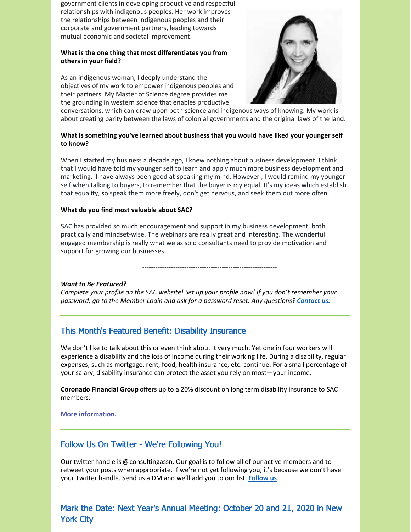government clients in developing productive and respectful relationships with indigenous peoples. Her work improves the relationships between indigenous peoples and their corporate and government partners, leading towards mutual economic and societal improvement.

## **What is the one thing that most differentiates you from others in your field?**

As an indigenous woman, I deeply understand the objectives of my work to empower indigenous peoples and their partners. My Master of Science degree provides me the grounding in western science that enables productive



conversations, which can draw upon both science and indigenous ways of knowing. My work is about creating parity between the laws of colonial governments and the original laws of the land.

## **What is something you've learned about business that you would have liked your younger self to know?**

When I started my business a decade ago, I knew nothing about business development. I think that I would have told my younger self to learn and apply much more business development and marketing. I have always been good at speaking my mind. However , I would remind my younger self when talking to buyers, to remember that the buyer is my equal. It's my ideas which establish that equality, so speak them more freely, don't get nervous, and seek them out more often.

## **What do you find most valuable about SAC?**

SAC has provided so much encouragement and support in my business development, both practically and mindset-wise. The webinars are really great and interesting. The wonderful engaged membership is really what we as solo consultants need to provide motivation and support for growing our businesses.

-------------------------------------------------------------

## *Want to Be Featured?*

*Complete your profile on the SAC website! Set up your profile now! If you don't remember your password, go to the Member Login and ask for a password reset. Any questions? [Contact](mailto:info@consultingsociety.com) us.*

# This Month's Featured Benefit: Disability Insurance

We don't like to talk about this or even think about it very much. Yet one in four workers will experience a disability and the loss of income during their working life. During a disability, regular expenses, such as mortgage, rent, food, health insurance, etc. continue. For a small percentage of your salary, disability insurance can protect the asset you rely on most—your income.

**Coronado Financial Group** offers up to a 20% discount on long term disability insurance to SAC members.

## **More [information.](https://consultingsociety.com/membership/member-discounts/)**

# Follow Us On Twitter - We're Following You!

Our twitter handle is @consultingassn. Our goal is to follow all of our active members and to retweet your posts when appropriate. If we're not yet following you, it's because we don't have your Twitter handle. Send us a DM and we'll add you to our list. **[Follow](https://twitter.com/ConsultingAssn) us**.

Mark the Date: Next Year's Annual Meeting: October 20 and 21, 2020 in New York City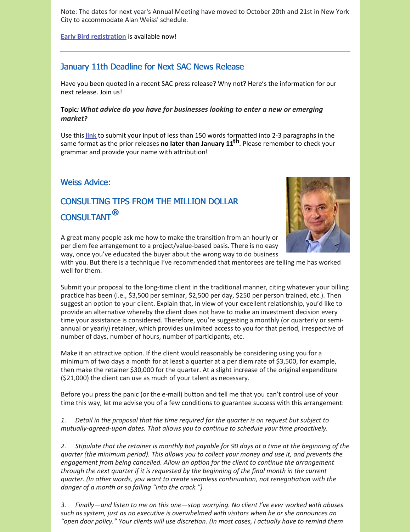Note: The dates for next year's Annual Meeting have moved to October 20th and 21st in New York City to accommodate Alan Weiss' schedule.

**Early Bird [registration](https://consultingsociety.com/2020-sac-annual-meeting-new-york-city-october-20-21-2020/)** is available now!

# January 11th Deadline for Next SAC News Release

Have you been quoted in a recent SAC press release? Why not? Here's the information for our next release. Join us!

# **Topic***: What advice do you have for businesses looking to enter a new or emerging market?*

Use this **[link](https://consultingsociety.com/press-release-contribution/)** to submit your input of less than 150 words formatted into 2-3 paragraphs in the same format as the prior releases **no later than January 11 th**. Please remember to check your grammar and provide your name with attribution!

# Weiss Advice:

# CONSULTING TIPS FROM THE MILLION DOLLAR CONSULTANT**®**



A great many people ask me how to make the transition from an hourly or per diem fee arrangement to a project/value-based basis. There is no easy way, once you've educated the buyer about the wrong way to do business

with you. But there is a technique I've recommended that mentorees are telling me has worked well for them.

Submit your proposal to the long-time client in the traditional manner, citing whatever your billing practice has been (i.e., \$3,500 per seminar, \$2,500 per day, \$250 per person trained, etc.). Then suggest an option to your client. Explain that, in view of your excellent relationship, you'd like to provide an alternative whereby the client does not have to make an investment decision every time your assistance is considered. Therefore, you're suggesting a monthly (or quarterly or semiannual or yearly) retainer, which provides unlimited access to you for that period, irrespective of number of days, number of hours, number of participants, etc.

Make it an attractive option. If the client would reasonably be considering using you for a minimum of two days a month for at least a quarter at a per diem rate of \$3,500, for example, then make the retainer \$30,000 for the quarter. At a slight increase of the original expenditure (\$21,000) the client can use as much of your talent as necessary.

Before you press the panic (or the e-mail) button and tell me that you can't control use of your time this way, let me advise you of a few conditions to guarantee success with this arrangement:

*1. Detail in the proposal that the time required for the quarter is on request but subject to mutually-agreed-upon dates. That allows you to continue to schedule your time proactively.*

2. Stipulate that the retainer is monthly but payable for 90 days at a time at the beginning of the *quarter (the minimum period). This allows you to collect your money and use it, and prevents the engagement from being cancelled. Allow an option for the client to continue the arrangement through the next quarter if it is requested by the beginning of the final month in the current quarter. (In other words, you want to create seamless continuation, not renegotiation with the danger of a month or so falling "into the crack.")*

*3. Finally—and listen to me on this one—stop worrying. No client I've ever worked with abuses such as system, just as no executive is overwhelmed with visitors when he or she announces an "open door policy." Your clients will use discretion. (In most cases, I actually have to remind them*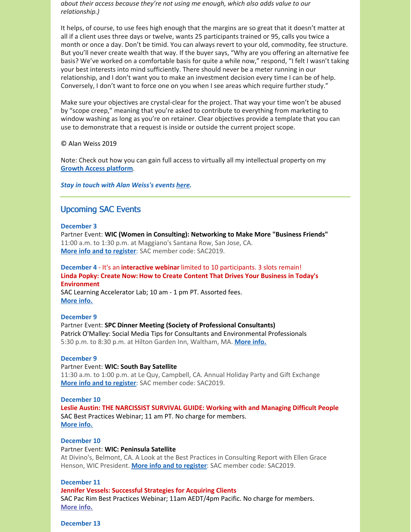*about their access because they're not using me enough, which also adds value to our relationship.)*

It helps, of course, to use fees high enough that the margins are so great that it doesn't matter at all if a client uses three days or twelve, wants 25 participants trained or 95, calls you twice a month or once a day. Don't be timid. You can always revert to your old, commodity, fee structure. But you'll never create wealth that way. If the buyer says, "Why are you offering an alternative fee basis? We've worked on a comfortable basis for quite a while now," respond, "I felt I wasn't taking your best interests into mind sufficiently. There should never be a meter running in our relationship, and I don't want you to make an investment decision every time I can be of help. Conversely, I don't want to force one on you when I see areas which require further study."

Make sure your objectives are crystal-clear for the project. That way your time won't be abused by "scope creep," meaning that you're asked to contribute to everything from marketing to window washing as long as you're on retainer. Clear objectives provide a template that you can use to demonstrate that a request is inside or outside the current project scope.

### © Alan Weiss 2019

Note: Check out how you can gain full access to virtually all my intellectual property on my **Growth Access [platform](https://alanweiss.com/growth-experiences/growth-access/)**.

## *Stay in touch with Alan Weiss's events [here](https://www.alanweiss.com/growth-experiences/).*

## Upcoming SAC Events

### **December 3**

Partner Event: **WIC (Women in Consulting): Networking to Make More "Business Friends"** 11:00 a.m. to 1:30 p.m. at Maggiano's Santana Row, San Jose, CA. **More info and to [register](https://www.womeninconsulting.org/programs-events)**: SAC member code: SAC2019.

## **December 4** - It's an **interactive webinar** limited to 10 participants. 3 slots remain! **Linda Popky: Create Now: How to Create Content That Drives Your Business in Today's Environment**

SAC Learning Accelerator Lab; 10 am - 1 pm PT. Assorted fees. **[More](https://consultingsociety.com/programs-events/regional-meetings#popky-1219) info.**

### **December 9**

Partner Event: **SPC Dinner Meeting (Society of Professional Consultants)** Patrick O'Malley: Social Media Tips for Consultants and Environmental Professionals 5:30 p.m. to 8:30 p.m. at Hilton Garden Inn, Waltham, MA. **[More](https://www.spconsultants.org/meeting-dates) info.**

## **December 9**

### Partner Event: **WIC: South Bay Satellite**

11:30 a.m. to 1:00 p.m. at Le Quy, Campbell, CA. Annual Holiday Party and Gift Exchange **More info and to [register](https://www.womeninconsulting.org/programs-events)**: SAC member code: SAC2019.

### **December 10**

**Leslie Austin: THE NARCISSIST SURVIVAL GUIDE: Working with and Managing Difficult People** SAC Best Practices Webinar; 11 am PT. No charge for members. **[More](https://consultingsociety.com/programs-events/best-practices-webinars#austin-1219) info.**

### **December 10**

### Partner Event: **WIC: Peninsula Satellite**

At Divino's, Belmont, CA. A Look at the Best Practices in Consulting Report with Ellen Grace Henson, WIC President. **More info and to [register](https://www.womeninconsulting.org/programs-events)**: SAC member code: SAC2019.

### **December 11**

### **Jennifer Vessels: Successful Strategies for Acquiring Clients**

SAC Pac Rim Best Practices Webinar; 11am AEDT/4pm Pacific. No charge for members. **[More](https://consultingsociety.com/programs-events/best-practices-webinars/#vessels-1219) info.**

### **December 13**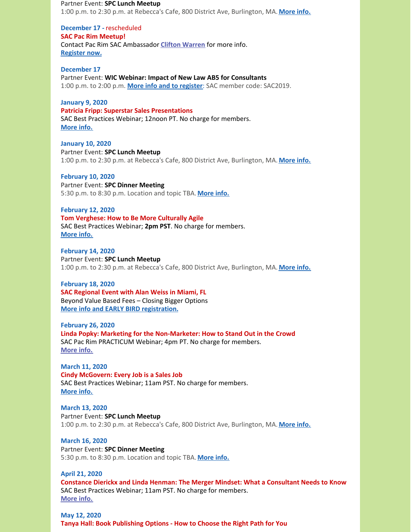Partner Event: **SPC Lunch Meetup** 1:00 p.m. to 2:30 p.m. at Rebecca's Cafe, 800 District Ave, Burlington, MA. **[More](https://spconsultants.org/event-3613223) info.**

**December 17 -** rescheduled **SAC Pac Rim Meetup!** Contact Pac Rim SAC Ambassador **Clifton [Warren](https://consultingsociety.com/user/clifton/)** for more info. **[Register](https://www.trybooking.com/book/event?eid=561644&) now.**

**December 17** Partner Event: **WIC Webinar: Impact of New Law AB5 for Consultants** 1:00 p.m. to 2:00 p.m. **More info and to [register](https://www.womeninconsulting.org/programs-events)**: SAC member code: SAC2019.

**January 9, 2020 Patricia Fripp: Superstar Sales Presentations** SAC Best Practices Webinar; 12noon PT. No charge for members. **[More](https://consultingsociety.com/programs-events/best-practices-webinars/#fripp-0120) info.**

**January 10, 2020** Partner Event: **SPC Lunch Meetup** 1:00 p.m. to 2:30 p.m. at Rebecca's Cafe, 800 District Ave, Burlington, MA. **[More](https://spconsultants.org/event-3643186) info.**

**February 10, 2020** Partner Event: **SPC Dinner Meeting** 5:30 p.m. to 8:30 p.m. Location and topic TBA. **[More](https://spconsultants.org/meeting-locations) info.**

**February 12, 2020 Tom Verghese: How to Be More Culturally Agile** SAC Best Practices Webinar; **2pm PST**. No charge for members. **[More](https://consultingsociety.com/programs-events/best-practices-webinars/#verghese-0220) info.**

**February 14, 2020** Partner Event: **SPC Lunch Meetup** 1:00 p.m. to 2:30 p.m. at Rebecca's Cafe, 800 District Ave, Burlington, MA. **[More](https://spconsultants.org/event-3643187) info.**

**February 18, 2020 SAC Regional Event with Alan Weiss in Miami, FL** Beyond Value Based Fees – Closing Bigger Options **More info and EARLY BIRD [registration.](https://consultingsociety.com/programs-events/regional-meetings#miami-0220)**

**February 26, 2020 Linda Popky: Marketing for the Non-Marketer: How to Stand Out in the Crowd** SAC Pac Rim PRACTICUM Webinar; 4pm PT. No charge for members. **[More](https://consultingsociety.com/programs-events/practicum-webinars/#popky-0220) info.**

**March 11, 2020 Cindy McGovern: Every Job is a Sales Job** SAC Best Practices Webinar; 11am PST. No charge for members. **[More](https://consultingsociety.com/programs-events/best-practices-webinars/#mcgovern-0320) info.**

**March 13, 2020** Partner Event: **SPC Lunch Meetup** 1:00 p.m. to 2:30 p.m. at Rebecca's Cafe, 800 District Ave, Burlington, MA. **[More](https://spconsultants.org/event-3643187) info.**

**March 16, 2020** Partner Event: **SPC Dinner Meeting** 5:30 p.m. to 8:30 p.m. Location and topic TBA. **[More](https://spconsultants.org/meeting-locations) info.**

**April 21, 2020 Constance Dierickx and Linda Henman: The Merger Mindset: What a Consultant Needs to Know** SAC Best Practices Webinar; 11am PST. No charge for members. **[More](https://consultingsociety.com/programs-events/best-practices-webinars#dierickx-0420) info.**

**May 12, 2020 Tanya Hall: Book Publishing Options - How to Choose the Right Path for You**